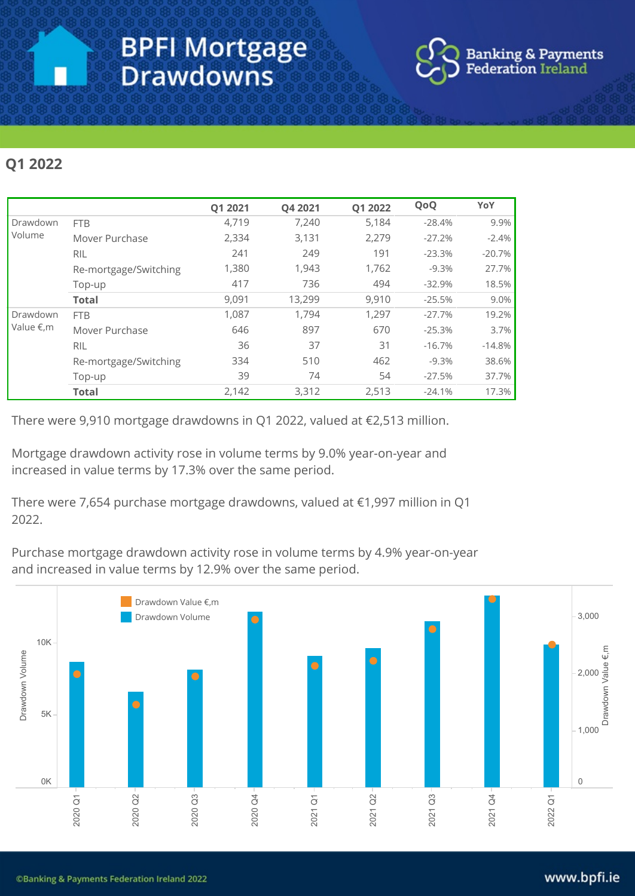

## Q12022

|                                |                       | Q1 2021 | Q4 2021 | Q1 2022 | QoQ      | YoY      |
|--------------------------------|-----------------------|---------|---------|---------|----------|----------|
| Drawdown<br>Volume             | <b>FTB</b>            | 4,719   | 7,240   | 5,184   | $-28.4%$ | 9.9%     |
|                                | Mover Purchase        | 2,334   | 3,131   | 2,279   | $-27.2%$ | $-2.4%$  |
|                                | <b>RIL</b>            | 241     | 249     | 191     | $-23.3%$ | $-20.7%$ |
|                                | Re-mortgage/Switching | 1,380   | 1,943   | 1,762   | $-9.3%$  | 27.7%    |
|                                | Top-up                | 417     | 736     | 494     | $-32.9%$ | 18.5%    |
|                                | <b>Total</b>          | 9,091   | 13,299  | 9,910   | $-25.5%$ | 9.0%     |
| Drawdown<br>Value $\notin$ , m | <b>FTB</b>            | 1,087   | 1,794   | 1,297   | $-27.7%$ | 19.2%    |
|                                | Mover Purchase        | 646     | 897     | 670     | $-25.3%$ | 3.7%     |
|                                | <b>RIL</b>            | 36      | 37      | 31      | $-16.7%$ | $-14.8%$ |
|                                | Re-mortgage/Switching | 334     | 510     | 462     | $-9.3%$  | 38.6%    |
|                                | Top-up                | 39      | 74      | 54      | $-27.5%$ | 37.7%    |
|                                | <b>Total</b>          | 2,142   | 3,312   | 2,513   | $-24.1%$ | 17.3%    |

There were 9,910 mortgage drawdowns in Q1 2022, valued at €2,513 million.

Mortgage drawdown activity rose in volume terms by 9.0% year-on-year and increased in value terms by 17.3% over the same period.

There were 7,654 purchase mortgage drawdowns, valued at €1,997 million in Q1 2022.

Purchase mortgage drawdown activity rose in volume terms by 4.9% year-on-year and increased in value terms by 12.9% over the same period.

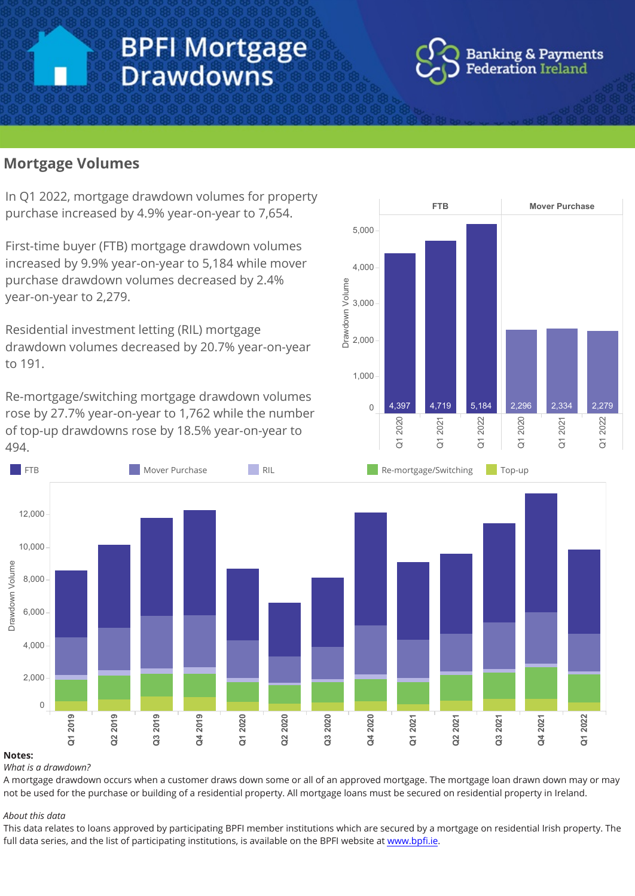# **BPFI Mortgage Drawdowns**



## **Mortgage Volumes**

In Q1 2022, mortgage drawdown volumes for property purchase increased by 4.9% year-on-year to 7,654.

First-time buyer (FTB) mortgage drawdown volumes increased by 9.9% year-on-year to 5,184 while mover purchase drawdown volumes decreased by 2.4% year-on-year to 2,279.

Residential investment letting (RIL) mortgage drawdown volumes decreased by 20.7% year-on-year to191.

Re-mortgage/switching mortgage drawdown volumes rose by 27.7% year-on-year to 1,762 while the number of top-up drawdowns rose by 18.5% year-on-year to 494.





#### Notes:

What is a drawdown?

A mortgage drawdown occurs when a customer draws down some or all of an approved mortgage. The mortgage loan drawn down may or may not be used for the purchase or building of a residential property. All mortgage loans must be secured on residential property in Ireland.

#### About this data

This data relates to loans approved by participating BPFI member institutions which are secured by a mortgage on residential Irish property. The full data series, and the list of participating institutions, is available on the BPFI website at www.bpfi.ie.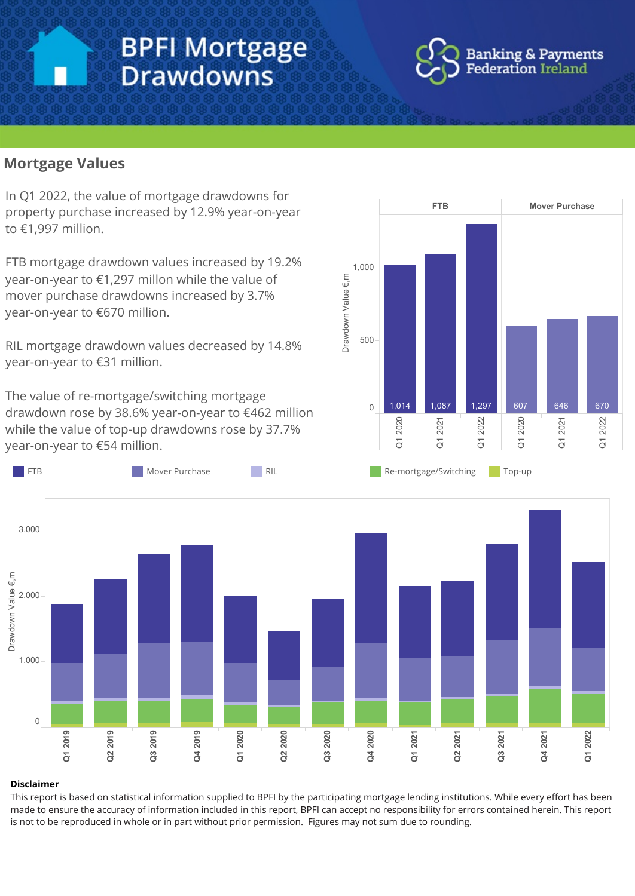# **BPFI Mortgage Drawdowns**



### **Mortgage Values**

In Q1 2022, the value of mortgage drawdowns for property purchase increased by 12.9% year-on-year to€1,997million.

FTB mortgage drawdown values increased by 19.2% year-on-year to €1,297 millon while the value of mover purchase drawdowns increased by 3.7% year-on-year to €670 million.

RIL mortgage drawdown values decreased by 14.8% year-on-year to €31 million.

The value of re-mortgage/switching mortgage drawdown rose by 38.6% year-on-year to €462 million while the value of top-up drawdowns rose by 37.7% year-on-year to €54 million.





#### Disclaimer

This report is based on statistical information supplied to BPFI by the participating mortgage lending institutions. While every effort has been made to ensure the accuracy of information included in this report, BPFI can accept no responsibility for errors contained herein. This report is not to be reproduced in whole or in part without prior permission. Figures may not sum due to rounding.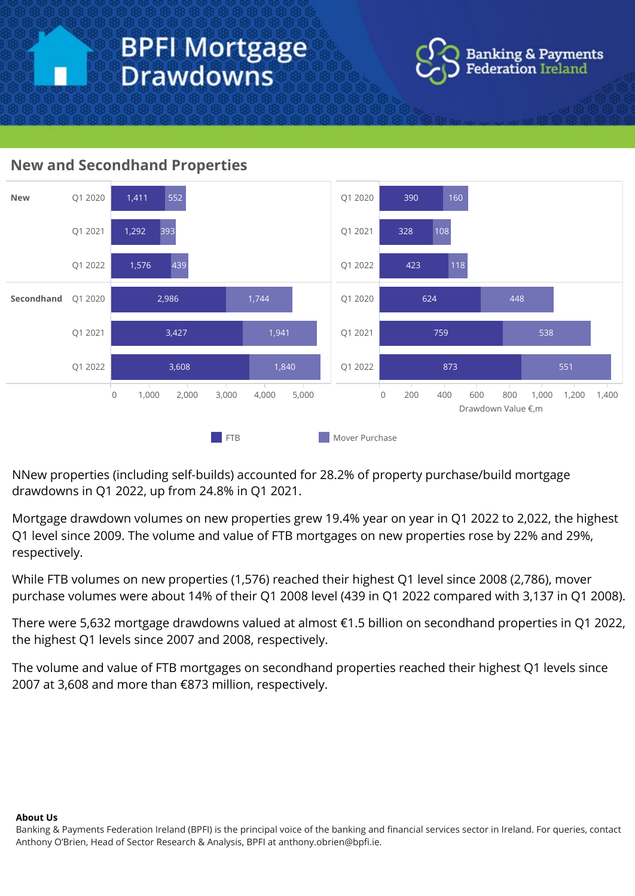

### **New and Secondhand Properties**



NNew properties (including self-builds) accounted for 28.2% of property purchase/build mortgage drawdownsinQ12022,upfrom 24.8%inQ12021.

Mortgage drawdown volumes on new properties grew 19.4% year on year in Q1 2022 to 2,022, the highest Q1 level since 2009. The volume and value of FTB mortgages on new properties rose by 22% and 29%, respectively.

While FTB volumes on new properties (1,576) reached their highest Q1 level since 2008 (2,786), mover purchase volumes were about 14% of their Q1 2008 level (439 in Q1 2022 compared with 3,137 in Q1 2008).

There were 5,632 mortgage drawdowns valued at almost €1.5 billion on secondhand properties in Q1 2022, the highest Q1 levels since 2007 and 2008, respectively.

The volume and value of FTB mortgages on secondhand properties reached their highest Q1 levels since 2007 at 3,608 and more than €873 million, respectively.

#### **About Us**

Banking & Payments Federation Ireland (BPFI) is the principal voice of the banking and financial services sector in Ireland. For queries, contact Anthony O'Brien, Head of Sector Research & Analysis, BPFI at anthony.obrien@bpfi.ie.